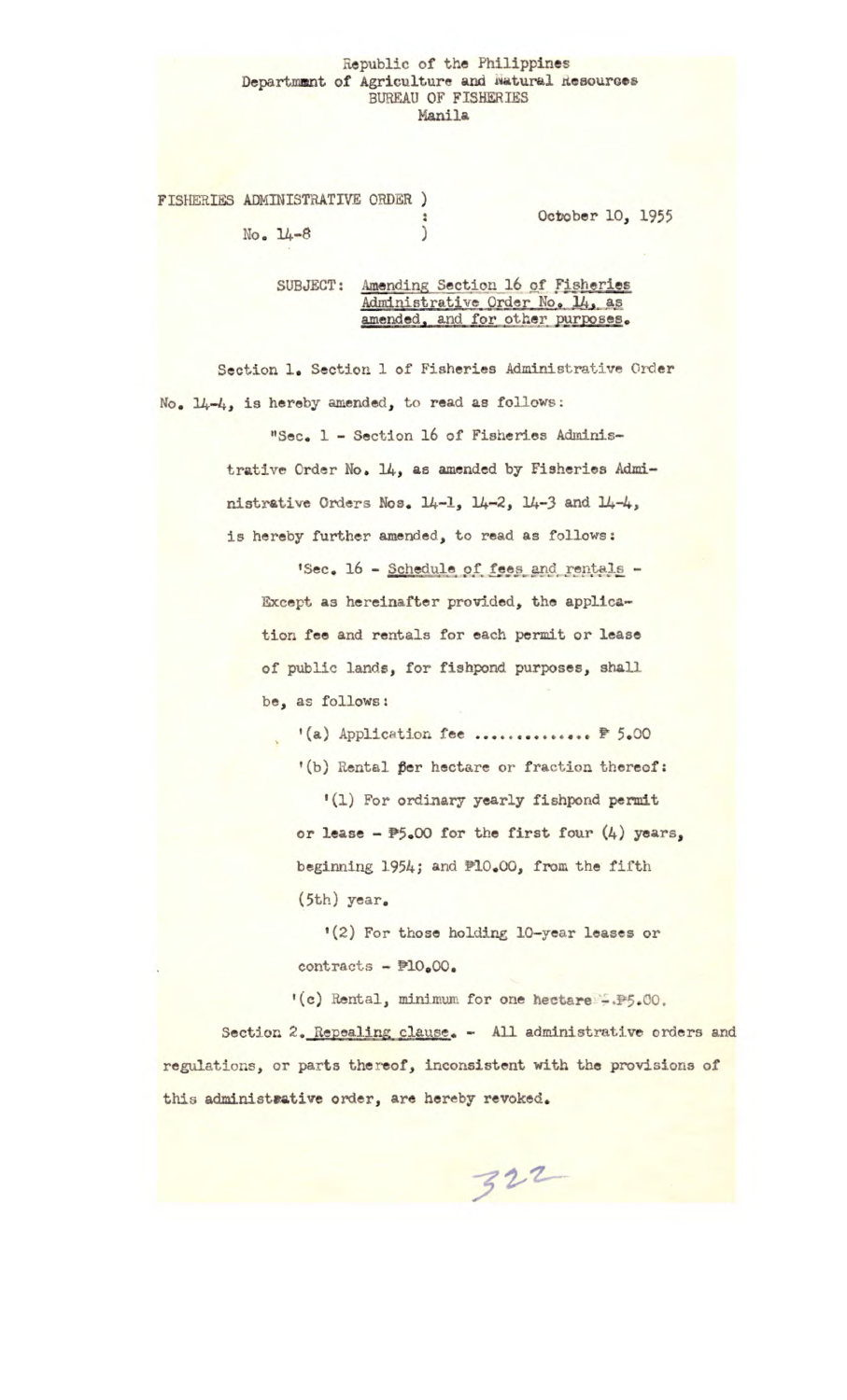## Republic of the Philippines Department of Agriculture and Natural Resources BUREAU OF FISHERIES Manila

FISHERIES ADMINISTRATIVE ORDER ) å

 $No. 14-8$  )

October 10, *1955* 

SUBJECT: Amending Section 16 of Fisheries Administrative Order No. 14, as<br>amended, and for other purposes.

*Section 1. Section 1 of* Fisheries Administrative Order No. 14-4, is hereby amended, to read as follows;

> "Sec. 1 - Section 16 of Fisheries Administrative Order No. 14, as amended by Fisheries Administrative Orders Nos.  $14-1$ ,  $14-2$ ,  $14-3$  and  $14-4$ , is hereby further amended, to read as follows:

'Sec • 16 - Schedule of fees and rentals - Except as hereinafter provided, the application fee and rentals for each permit or lease of public lands, for fishpond purposes, shall be, as follows:

'(a) Application fee ................ <u>P 5.00</u> *'(b) Rental* Per hectare or fraction thereof: <sup>1</sup> *(1) For ordinary yearly* fishpond permit or lease - P5.00 for the first four (4) **years,**  beginning 1954; and P10.00, from the fifth (5th) year.

<sup>1</sup> (2) For those holding 10-year leases or contracts - P10.00.

'(c) Rental, minimum for one hectare. P5.00.

Section 2. Repealing clause. - All administrative orders and regulations, or *parts thereof, inconsistent with the provisions of*  this administrative order, are hereby revoked.

 $322$